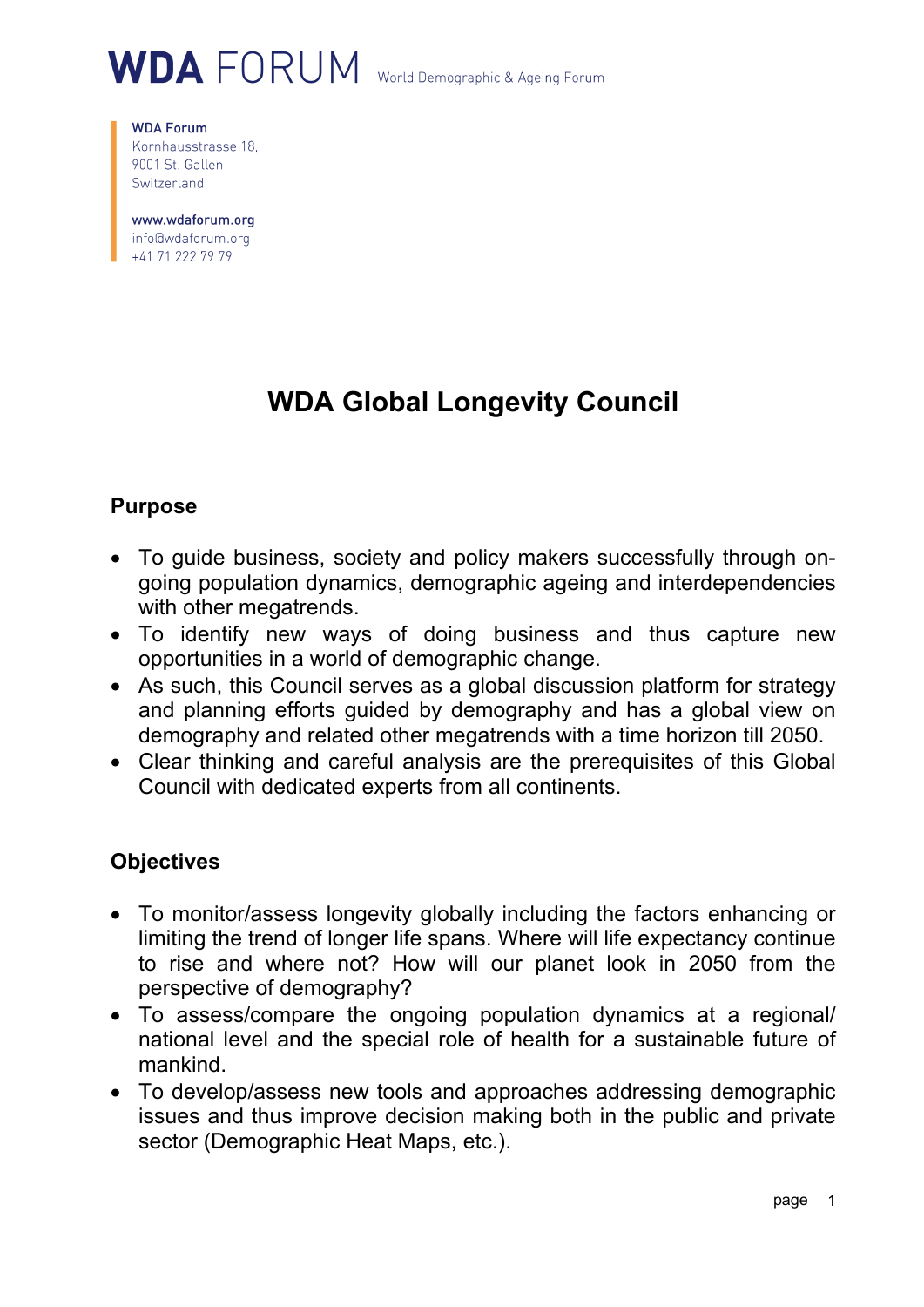# WDA FORUM World Demographic & Ageing Forum

**WDA Forum** Kornhausstrasse 18, 9001 St. Gallen Switzerland

www.wdaforum.org info@wdaforum.org +41 71 222 79 79

# **WDA Global Longevity Council**

### **Purpose**

- To guide business, society and policy makers successfully through ongoing population dynamics, demographic ageing and interdependencies with other megatrends.
- To identify new ways of doing business and thus capture new opportunities in a world of demographic change.
- As such, this Council serves as a global discussion platform for strategy and planning efforts guided by demography and has a global view on demography and related other megatrends with a time horizon till 2050.
- Clear thinking and careful analysis are the prerequisites of this Global Council with dedicated experts from all continents.

#### **Objectives**

- To monitor/assess longevity globally including the factors enhancing or limiting the trend of longer life spans. Where will life expectancy continue to rise and where not? How will our planet look in 2050 from the perspective of demography?
- To assess/compare the ongoing population dynamics at a regional/ national level and the special role of health for a sustainable future of mankind.
- To develop/assess new tools and approaches addressing demographic issues and thus improve decision making both in the public and private sector (Demographic Heat Maps, etc.).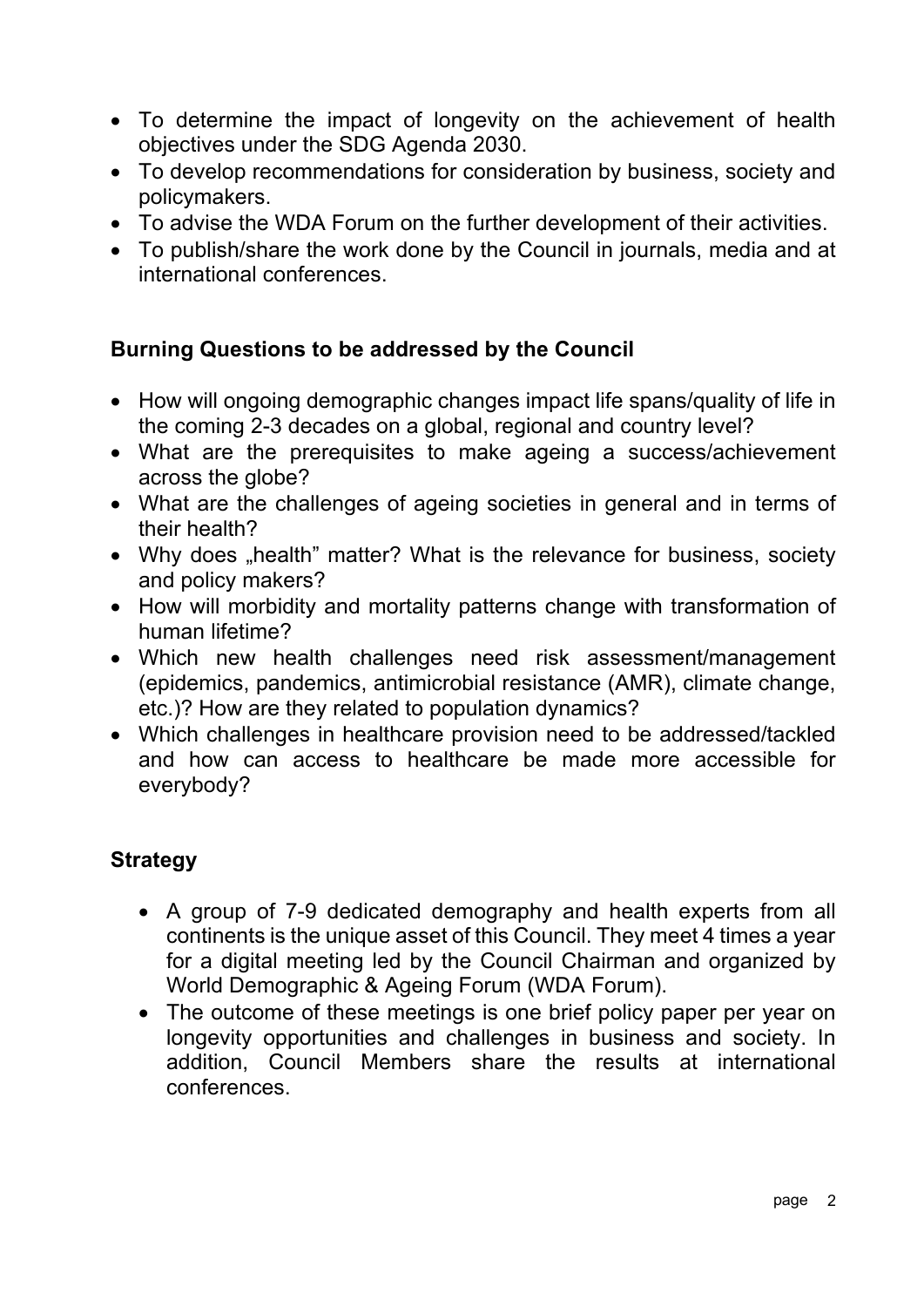- To determine the impact of longevity on the achievement of health objectives under the SDG Agenda 2030.
- To develop recommendations for consideration by business, society and policymakers.
- To advise the WDA Forum on the further development of their activities.
- To publish/share the work done by the Council in journals, media and at international conferences.

### **Burning Questions to be addressed by the Council**

- How will ongoing demographic changes impact life spans/quality of life in the coming 2-3 decades on a global, regional and country level?
- What are the prerequisites to make ageing a success/achievement across the globe?
- What are the challenges of ageing societies in general and in terms of their health?
- Why does "health" matter? What is the relevance for business, society and policy makers?
- How will morbidity and mortality patterns change with transformation of human lifetime?
- Which new health challenges need risk assessment/management (epidemics, pandemics, antimicrobial resistance (AMR), climate change, etc.)? How are they related to population dynamics?
- Which challenges in healthcare provision need to be addressed/tackled and how can access to healthcare be made more accessible for everybody?

# **Strategy**

- A group of 7-9 dedicated demography and health experts from all continents is the unique asset of this Council. They meet 4 times a year for a digital meeting led by the Council Chairman and organized by World Demographic & Ageing Forum (WDA Forum).
- The outcome of these meetings is one brief policy paper per year on longevity opportunities and challenges in business and society. In addition, Council Members share the results at international conferences.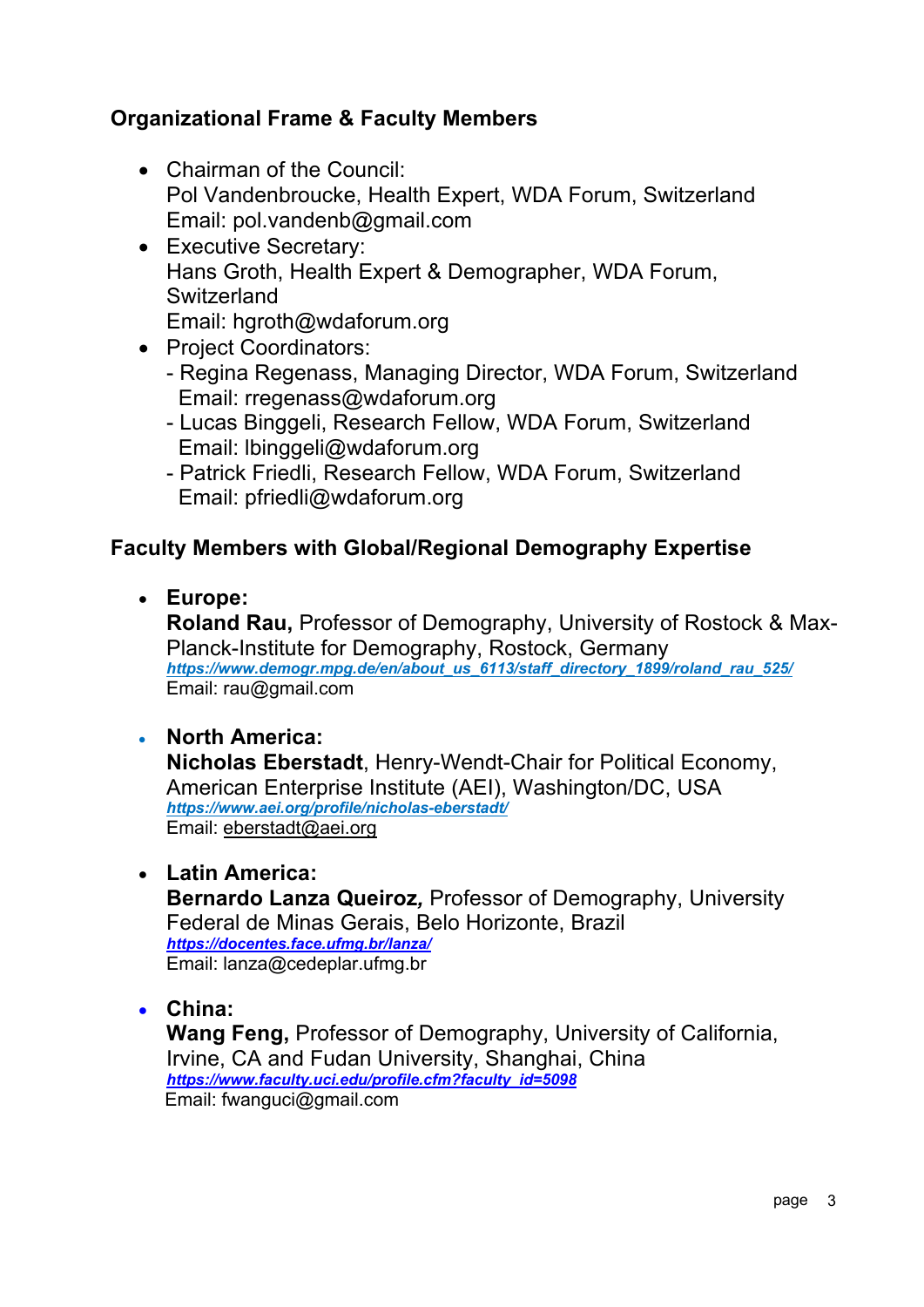# **Organizational Frame & Faculty Members**

- Chairman of the Council: Pol Vandenbroucke, Health Expert, WDA Forum, Switzerland Email: pol.vandenb@gmail.com
- Executive Secretary: Hans Groth, Health Expert & Demographer, WDA Forum, **Switzerland** Email: hgroth@wdaforum.org
- Project Coordinators:
	- Regina Regenass, Managing Director, WDA Forum, Switzerland Email: rregenass@wdaforum.org
	- Lucas Binggeli, Research Fellow, WDA Forum, Switzerland Email: lbinggeli@wdaforum.org
	- Patrick Friedli, Research Fellow, WDA Forum, Switzerland Email: pfriedli@wdaforum.org

### **Faculty Members with Global/Regional Demography Expertise**

• **Europe:**

**Roland Rau,** Professor of Demography, University of Rostock & Max-Planck-Institute for Demography, Rostock, Germany *https://www.demogr.mpg.de/en/about\_us\_6113/staff\_directory\_1899/roland\_rau\_525/* Email: rau@gmail.com

#### • **North America:**

**Nicholas Eberstadt**, Henry-Wendt-Chair for Political Economy, American Enterprise Institute (AEI), Washington/DC, USA *https://www.aei.org/profile/nicholas-eberstadt/* Email: eberstadt@aei.org

#### • **Latin America:**

**Bernardo Lanza Queiroz***,* Professor of Demography, University Federal de Minas Gerais, Belo Horizonte, Brazil *https://docentes.face.ufmg.br/lanza/* Email: lanza@cedeplar.ufmg.br

• **China:**

**Wang Feng,** Professor of Demography, University of California, Irvine, CA and Fudan University, Shanghai, China *https://www.faculty.uci.edu/profile.cfm?faculty\_id=5098* Email: fwanguci@gmail.com